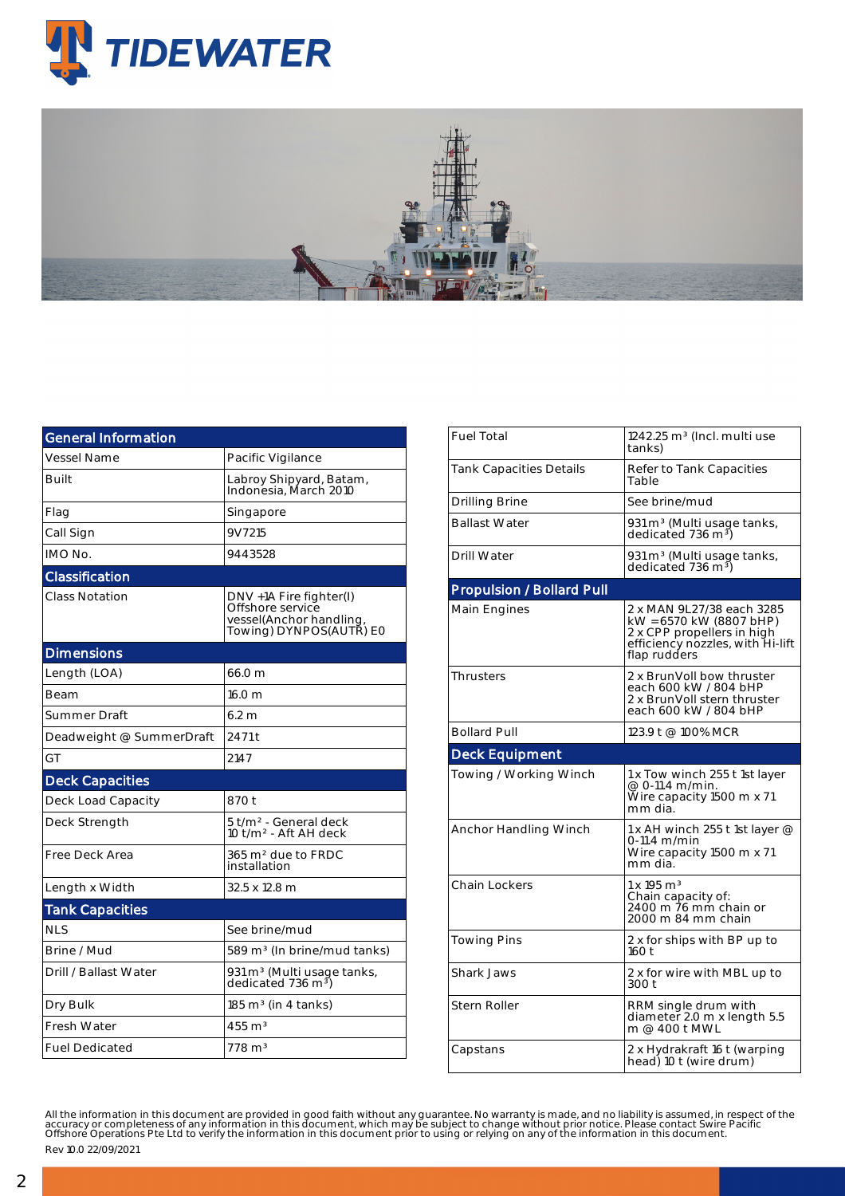

| <b>General Information</b> |                                                                                                   |  |  |  |  |  |
|----------------------------|---------------------------------------------------------------------------------------------------|--|--|--|--|--|
| Vessel Name                | Pacific Vigilance                                                                                 |  |  |  |  |  |
| Built                      | Labroy Shipyard, Batam,<br>Indonesia, March 2010                                                  |  |  |  |  |  |
| Flag                       | Singapore                                                                                         |  |  |  |  |  |
| Call Sign                  | 9V7215                                                                                            |  |  |  |  |  |
| IMO No.                    | 9443528                                                                                           |  |  |  |  |  |
| Classification             |                                                                                                   |  |  |  |  |  |
| <b>Class Notation</b>      | DNV +1A Fire fighter(I)<br>Offshore service<br>vessel(Anchor handling,<br>Towing) DYNPOS(AUTR) E0 |  |  |  |  |  |
| <b>Dimensions</b>          |                                                                                                   |  |  |  |  |  |
| Length (LOA)               | 66.0 m                                                                                            |  |  |  |  |  |
| Beam                       | 16.0 <sub>m</sub>                                                                                 |  |  |  |  |  |
| Summer Draft               | 6.2 <sub>m</sub>                                                                                  |  |  |  |  |  |
| Deadweight @ SummerDraft   | 2471 t                                                                                            |  |  |  |  |  |
| GT                         | 2147                                                                                              |  |  |  |  |  |
| <b>Deck Capacities</b>     |                                                                                                   |  |  |  |  |  |
| Deck Load Capacity         | 870 t                                                                                             |  |  |  |  |  |
| Deck Strength              | 5 t/m <sup>2</sup> - General deck<br>10 t/m <sup>2</sup> - Aft AH deck                            |  |  |  |  |  |
| Free Deck Area             | 365 m <sup>2</sup> due to FRDC<br>installation                                                    |  |  |  |  |  |
| Length x Width             | 32.5 x 12.8 m                                                                                     |  |  |  |  |  |
| <b>Tank Capacities</b>     |                                                                                                   |  |  |  |  |  |
| <b>NLS</b>                 | See brine/mud                                                                                     |  |  |  |  |  |
| Brine / Mud                | 589 m <sup>3</sup> (In brine/mud tanks)                                                           |  |  |  |  |  |
| Drill / Ballast Water      | 931 m <sup>3</sup> (Multi usage tanks,<br>dedicated 736 m <sup>3</sup> )                          |  |  |  |  |  |
| Dry Bulk                   | $185 \text{ m}^3$ (in 4 tanks)                                                                    |  |  |  |  |  |
| Fresh Water                | $455 \text{ m}^3$                                                                                 |  |  |  |  |  |
| <b>Fuel Dedicated</b>      | $778 \text{ m}^3$                                                                                 |  |  |  |  |  |

| <b>Fuel Total</b>                | $1242.25$ m <sup>3</sup> (Incl. multi use<br>tanks)                                                                                    |  |  |  |  |
|----------------------------------|----------------------------------------------------------------------------------------------------------------------------------------|--|--|--|--|
| <b>Tank Capacities Details</b>   | Refer to Tank Capacities<br>Table                                                                                                      |  |  |  |  |
| <b>Drilling Brine</b>            | See brine/mud                                                                                                                          |  |  |  |  |
| <b>Ballast Water</b>             | 931 m <sup>3</sup> (Multi usage tanks,<br>dedicated 736 m <sup>3</sup> )                                                               |  |  |  |  |
| Drill Water                      | 931 m <sup>3</sup> (Multi usage tanks,<br>dedicated 736 m <sup>3</sup> )                                                               |  |  |  |  |
| <b>Propulsion / Bollard Pull</b> |                                                                                                                                        |  |  |  |  |
| Main Engines                     | 2 x MAN 9L27/38 each 3285<br>kW = 6570 kW (8807 bHP)<br>2 x CPP propellers in high<br>efficiency nozzles, with Hi-lift<br>flap rudders |  |  |  |  |
| <b>Thrusters</b>                 | 2 x BrunVoll bow thruster<br>each 600 kW / 804 bHP<br>2 x BrunVoll stern thruster<br>each 600 kW / 804 bHP                             |  |  |  |  |
| <b>Bollard Pull</b>              | 123.9 t @ 100% MCR                                                                                                                     |  |  |  |  |
|                                  |                                                                                                                                        |  |  |  |  |
| <b>Deck Equipment</b>            |                                                                                                                                        |  |  |  |  |
| Towing / Working Winch           | 1 x Tow winch 255 t 1st layer<br>@ 0-11.4 m/min.<br>Wire capacity 1500 m x 71<br>mm dia.                                               |  |  |  |  |
| Anchor Handling Winch            | 1 x AH winch 255 t 1st layer $@$<br>0-11.4 m/min<br>Wire capacity 1500 m x 71<br>mm dia.                                               |  |  |  |  |
| <b>Chain Lockers</b>             | 1 x 195 m <sup>3</sup><br>Chain capacity of:<br>2400 m 76 mm chain or<br>2000 m 84 mm chain                                            |  |  |  |  |
| <b>Towing Pins</b>               | 2 x for ships with BP up to<br>160t                                                                                                    |  |  |  |  |
| Shark Jaws                       | 2 x for wire with MBL up to<br>300 t                                                                                                   |  |  |  |  |
| Stern Roller                     | RRM single drum with<br>diameter 2.0 m x length 5.5<br>m @ 400 t MWL                                                                   |  |  |  |  |

All the information in this document are provided in good faith without any guarantee. No warranty is made, and no liability is assumed, in respect of the<br>accuracy or completeness of any information in this document, which Rev 10.0 22/09/2021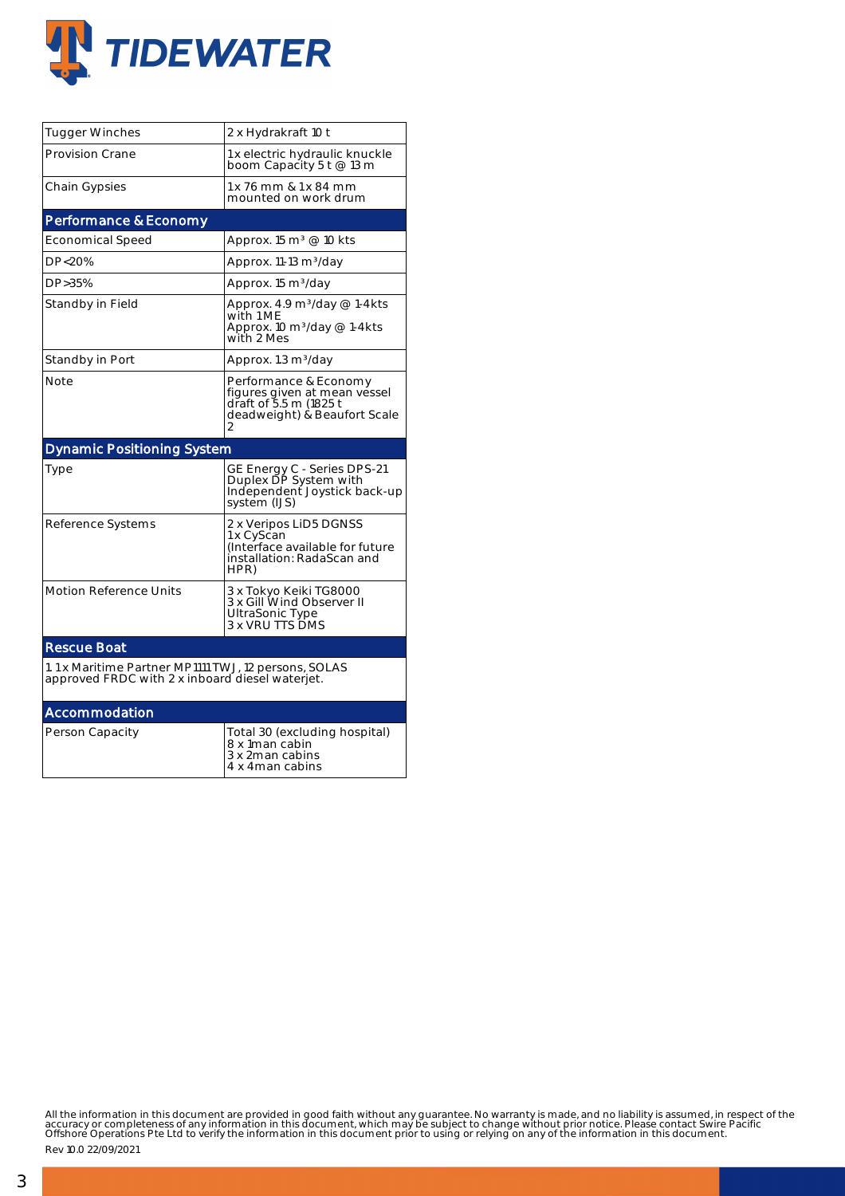

| Tugger Winches                                                                                          | 2 x Hydrakraft 10 t                                                                                             |  |  |  |  |  |  |
|---------------------------------------------------------------------------------------------------------|-----------------------------------------------------------------------------------------------------------------|--|--|--|--|--|--|
| <b>Provision Crane</b>                                                                                  | 1 x electric hydraulic knuckle<br>boom Capacity 5 t @ 13 m                                                      |  |  |  |  |  |  |
| Chain Gypsies                                                                                           | 1 x 76 mm & 1 x 84 mm<br>mounted on work drum                                                                   |  |  |  |  |  |  |
| Performance & Economy                                                                                   |                                                                                                                 |  |  |  |  |  |  |
| <b>Economical Speed</b>                                                                                 | Approx. 15 m <sup>3</sup> @ 10 kts                                                                              |  |  |  |  |  |  |
| DP<20%                                                                                                  | Approx. 11-13 m <sup>3</sup> /day                                                                               |  |  |  |  |  |  |
| DP>35%                                                                                                  | Approx. 15 m <sup>3</sup> /day                                                                                  |  |  |  |  |  |  |
| Standby in Field                                                                                        | Approx. 4.9 $m^3$ /day @ 1-4kts<br>with 1 ME<br>Approx. 10 $m^3$ /day @ 1-4kts<br>with 2 Mes                    |  |  |  |  |  |  |
| Standby in Port                                                                                         | Approx. 1.3 m <sup>3</sup> /day                                                                                 |  |  |  |  |  |  |
| Note                                                                                                    | Performance & Economy<br>figures given at mean vessel<br>draft of 5.5 m (1825 t<br>deadweight) & Beaufort Scale |  |  |  |  |  |  |
| <b>Dynamic Positioning System</b>                                                                       |                                                                                                                 |  |  |  |  |  |  |
| Type                                                                                                    | GE Energy C - Series DPS-21<br>Duplex DP System with<br>Independent Joystick back-up<br>system (IJS)            |  |  |  |  |  |  |
| Reference Systems                                                                                       | 2 x Veripos LiD5 DGNSS<br>1 x CyScan<br>(Interface available for future<br>installation: RadaScan and<br>HPR)   |  |  |  |  |  |  |
| <b>Motion Reference Units</b>                                                                           | 3 x Tokyo Keiki TG8000<br>3 x Gill Wind Observer II<br>UltraSonic Type<br>3 x VRU TTS DMS                       |  |  |  |  |  |  |
| <b>Rescue Boat</b>                                                                                      |                                                                                                                 |  |  |  |  |  |  |
| 1.1 x Maritime Partner MP1111 TWJ, 12 persons, SOLAS<br>approved FRDC with 2 x inboard diesel waterjet. |                                                                                                                 |  |  |  |  |  |  |
| Accommodation                                                                                           |                                                                                                                 |  |  |  |  |  |  |
| Person Capacity                                                                                         | Total 30 (excluding hospital)<br>8 x 1man cabin<br>3 x 2man cabins<br>4 x 4man cabins                           |  |  |  |  |  |  |

All the information in this document are provided in good faith without any guarantee. No warranty is made, and no liability is assumed, in respect of the<br>accuracy or completeness of any information in this document, which

Rev 10.0 22/09/2021